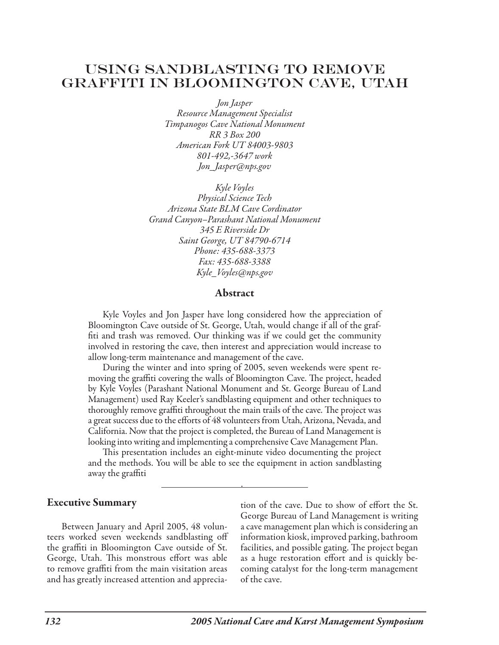# Using Sandblasting to Remove Graffiti in Bloomington Cave, Utah

*Jon Jasper Resource Management Specialist Timpanogos Cave National Monument RR 3 Box 200 American Fork UT 84003-9803 801-492,-3647 work Jon\_Jasper@nps.gov*

*Kyle Voyles Physical Science Tech Arizona State BLM Cave Cordinator Grand Canyon–Parashant National Monument 345 E Riverside Dr Saint George, UT 84790-6714 Phone: 435-688-3373 Fax: 435-688-3388 Kyle\_Voyles@nps.gov*

#### Abstract

Kyle Voyles and Jon Jasper have long considered how the appreciation of Bloomington Cave outside of St. George, Utah, would change if all of the graffiti and trash was removed. Our thinking was if we could get the community involved in restoring the cave, then interest and appreciation would increase to allow long-term maintenance and management of the cave.

During the winter and into spring of 2005, seven weekends were spent removing the graffiti covering the walls of Bloomington Cave. The project, headed by Kyle Voyles (Parashant National Monument and St. George Bureau of Land Management) used Ray Keeler's sandblasting equipment and other techniques to thoroughly remove graffiti throughout the main trails of the cave. The project was a great success due to the efforts of 48 volunteers from Utah, Arizona, Nevada, and California. Now that the project is completed, the Bureau of Land Management is looking into writing and implementing a comprehensive Cave Management Plan.

This presentation includes an eight-minute video documenting the project and the methods. You will be able to see the equipment in action sandblasting away the graffiti

.

#### Executive Summary

Between January and April 2005, 48 volunteers worked seven weekends sandblasting off the graffiti in Bloomington Cave outside of St. George, Utah. This monstrous effort was able to remove graffiti from the main visitation areas and has greatly increased attention and appreciation of the cave. Due to show of effort the St. George Bureau of Land Management is writing a cave management plan which is considering an information kiosk, improved parking, bathroom facilities, and possible gating. The project began as a huge restoration effort and is quickly becoming catalyst for the long-term management of the cave.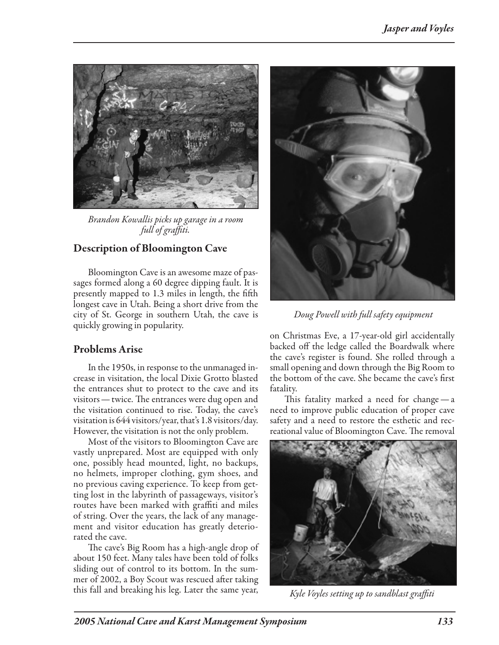

*Brandon Kowallis picks up garage in a room full of graffiti.*

## Description of Bloomington Cave

Bloomington Cave is an awesome maze of passages formed along a 60 degree dipping fault. It is presently mapped to 1.3 miles in length, the fifth longest cave in Utah. Being a short drive from the city of St. George in southern Utah, the cave is quickly growing in popularity.

## Problems Arise

In the 1950s, in response to the unmanaged increase in visitation, the local Dixie Grotto blasted the entrances shut to protect to the cave and its visitors—twice. The entrances were dug open and the visitation continued to rise. Today, the cave's visitation is 644 visitors/year, that's 1.8 visitors/day. However, the visitation is not the only problem.

Most of the visitors to Bloomington Cave are vastly unprepared. Most are equipped with only one, possibly head mounted, light, no backups, no helmets, improper clothing, gym shoes, and no previous caving experience. To keep from getting lost in the labyrinth of passageways, visitor's routes have been marked with graffiti and miles of string. Over the years, the lack of any management and visitor education has greatly deteriorated the cave.

The cave's Big Room has a high-angle drop of about 150 feet. Many tales have been told of folks sliding out of control to its bottom. In the summer of 2002, a Boy Scout was rescued after taking this fall and breaking his leg. Later the same year,



 *Doug Powell with full safety equipment*

on Christmas Eve, a 17-year-old girl accidentally backed off the ledge called the Boardwalk where the cave's register is found. She rolled through a small opening and down through the Big Room to the bottom of the cave. She became the cave's first fatality.

This fatality marked a need for change—a need to improve public education of proper cave safety and a need to restore the esthetic and recreational value of Bloomington Cave. The removal



*Kyle Voyles setting up to sandblast graffiti*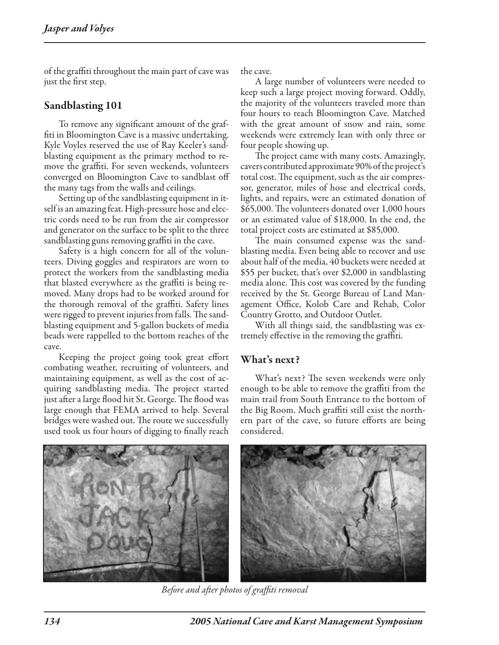of the graffiti throughout the main part of cave was just the first step.

### Sandblasting 101

To remove any significant amount of the graffiti in Bloomington Cave is a massive undertaking. Kyle Voyles reserved the use of Ray Keeler's sandblasting equipment as the primary method to remove the graffiti. For seven weekends, volunteers converged on Bloomington Cave to sandblast off the many tags from the walls and ceilings.

Setting up of the sandblasting equipment in itself is an amazing feat. High-pressure hose and electric cords need to be run from the air compressor and generator on the surface to be split to the three sandblasting guns removing graffiti in the cave.

Safety is a high concern for all of the volunteers. Diving goggles and respirators are worn to protect the workers from the sandblasting media that blasted everywhere as the graffiti is being removed. Many drops had to be worked around for the thorough removal of the graffiti. Safety lines were rigged to prevent injuries from falls. The sandblasting equipment and 5-gallon buckets of media beads were rappelled to the bottom reaches of the cave.

Keeping the project going took great effort combating weather, recruiting of volunteers, and maintaining equipment, as well as the cost of acquiring sandblasting media. The project started just after a large flood hit St. George. The flood was large enough that FEMA arrived to help. Several bridges were washed out. The route we successfully used took us four hours of digging to finally reach the cave.

A large number of volunteers were needed to keep such a large project moving forward. Oddly, the majority of the volunteers traveled more than four hours to reach Bloomington Cave. Matched with the great amount of snow and rain, some weekends were extremely lean with only three or four people showing up.

The project came with many costs. Amazingly, cavers contributed approximate 90% of the project's total cost. The equipment, such as the air compressor, generator, miles of hose and electrical cords, lights, and repairs, were an estimated donation of \$65,000. The volunteers donated over 1,000 hours or an estimated value of \$18,000. In the end, the total project costs are estimated at \$85,000.

The main consumed expense was the sandblasting media. Even being able to recover and use about half of the media, 40 buckets were needed at \$55 per bucket, that's over \$2,000 in sandblasting media alone. This cost was covered by the funding received by the St. George Bureau of Land Management Office, Kolob Care and Rehab, Color Country Grotto, and Outdoor Outlet.

With all things said, the sandblasting was extremely effective in the removing the graffiti.

#### What's next?

What's next? The seven weekends were only enough to be able to remove the graffiti from the main trail from South Entrance to the bottom of the Big Room. Much graffiti still exist the northern part of the cave, so future efforts are being considered.



*Before and after photos of graffiti removal*